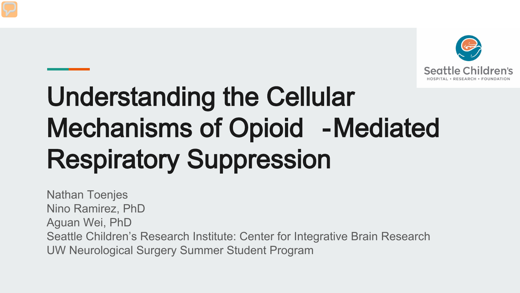

# Understanding the Cellular Mechanisms of Opioid -Mediated Respiratory Suppression

Nathan Toenjes Nino Ramirez, PhD Aguan Wei, PhD Seattle Children's Research Institute: Center for Integrative Brain Research UW Neurological Surgery Summer Student Program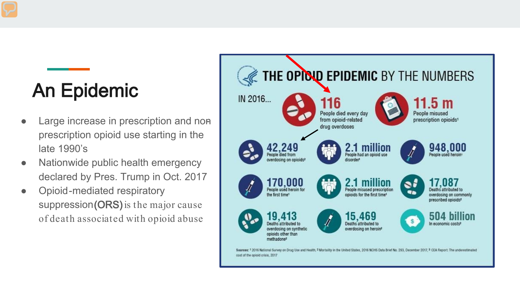# An Epidemic

- Large increase in prescription and nonprescription opioid use starting in the late 1990's
- Nationwide public health emergency declared by Pres. Trump in Oct. 2017
- Opioid-mediated respiratory suppression (ORS) is the major cause of death associated with opioid abuse

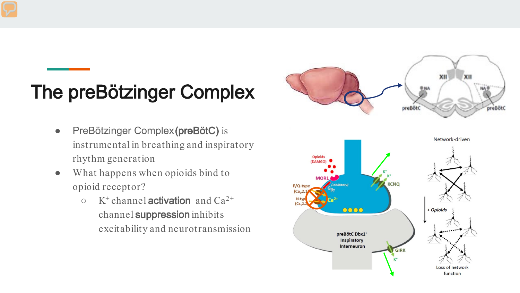# The preBötzinger Complex

- PreBötzinger Complex (preBötC) is instrumental in breathing and inspiratory rhythm generation
- What happens when opioids bind to opioid receptor?
	- $\circ$  K<sup>+</sup> channel **activation** and Ca<sup>2+</sup> channel suppression inhibits excitability and neurotransmission



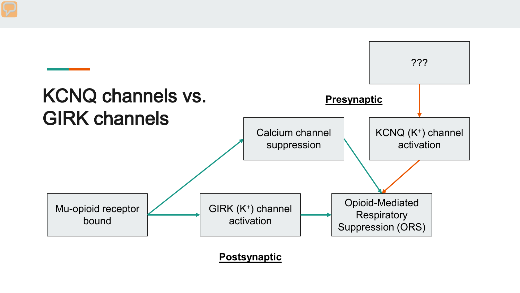

**Postsynaptic**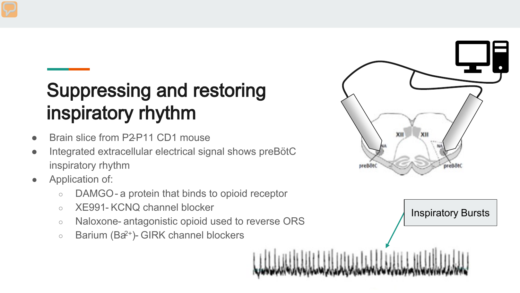## Suppressing and restoring inspiratory rhythm

- Brain slice from P2-P11 CD1 mouse
- Integrated extracellular electrical signal shows preBötC inspiratory rhythm
- Application of:
	- DAMGO- a protein that binds to opioid receptor
	- XE991- KCNQ channel blocker
	- Naloxone- antagonistic opioid used to reverse ORS
	- Barium (Ba2+)- GIRK channel blockers



Inspiratory Bursts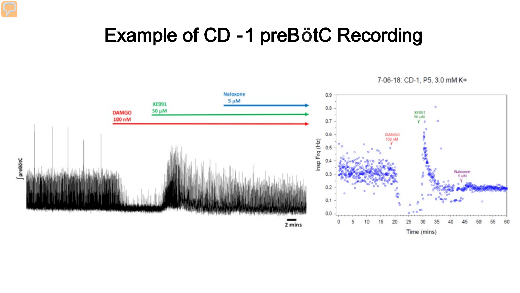#### Example of CD -1 preBötC Recording



7-06-18: CD-1, P5, 3.0 mM K+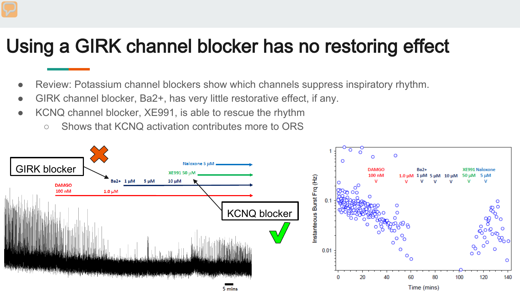#### Using a GIRK channel blocker has no restoring effect

- Review: Potassium channel blockers show which channels suppress inspiratory rhythm.
- GIRK channel blocker, Ba2+, has very little restorative effect, if any.
- KCNQ channel blocker, XE991, is able to rescue the rhythm
	- Shows that KCNQ activation contributes more to ORS

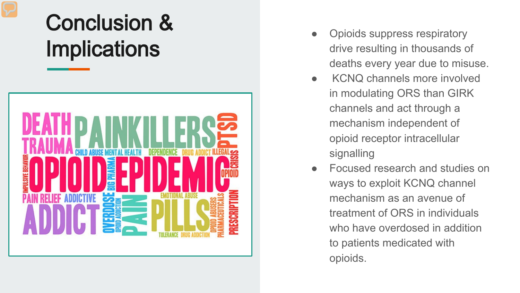# Conclusion & **Implications**



- Opioids suppress respiratory drive resulting in thousands of deaths every year due to misuse.
- KCNQ channels more involved in modulating ORS than GIRK channels and act through a mechanism independent of opioid receptor intracellular signalling
- Focused research and studies on ways to exploit KCNQ channel mechanism as an avenue of treatment of ORS in individuals who have overdosed in addition to patients medicated with opioids.